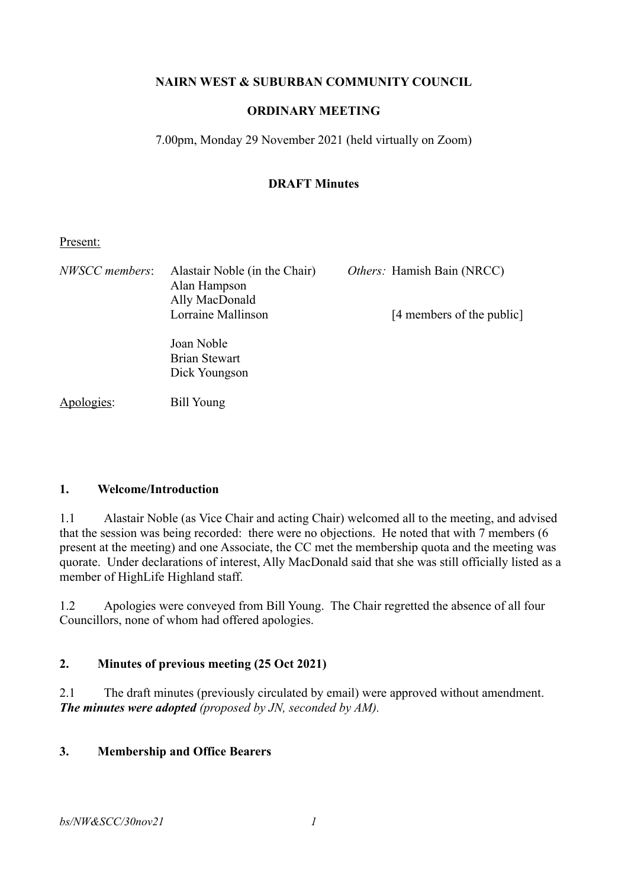### **NAIRN WEST & SUBURBAN COMMUNITY COUNCIL**

## **ORDINARY MEETING**

7.00pm, Monday 29 November 2021 (held virtually on Zoom)

## **DRAFT Minutes**

#### Present:

| NWSCC members: | Alastair Noble (in the Chair)<br>Alan Hampson<br>Ally MacDonald | <i>Others:</i> Hamish Bain (NRCC) |
|----------------|-----------------------------------------------------------------|-----------------------------------|
|                | Lorraine Mallinson                                              | [4 members of the public]         |
|                | Joan Noble<br><b>Brian Stewart</b><br>Dick Youngson             |                                   |
| Apologies:     | Bill Young                                                      |                                   |

#### **1. Welcome/Introduction**

1.1 Alastair Noble (as Vice Chair and acting Chair) welcomed all to the meeting, and advised that the session was being recorded: there were no objections. He noted that with 7 members (6 present at the meeting) and one Associate, the CC met the membership quota and the meeting was quorate. Under declarations of interest, Ally MacDonald said that she was still officially listed as a member of HighLife Highland staff.

1.2 Apologies were conveyed from Bill Young. The Chair regretted the absence of all four Councillors, none of whom had offered apologies.

### **2. Minutes of previous meeting (25 Oct 2021)**

2.1 The draft minutes (previously circulated by email) were approved without amendment. *The minutes were adopted (proposed by JN, seconded by AM).*

### **3. Membership and Office Bearers**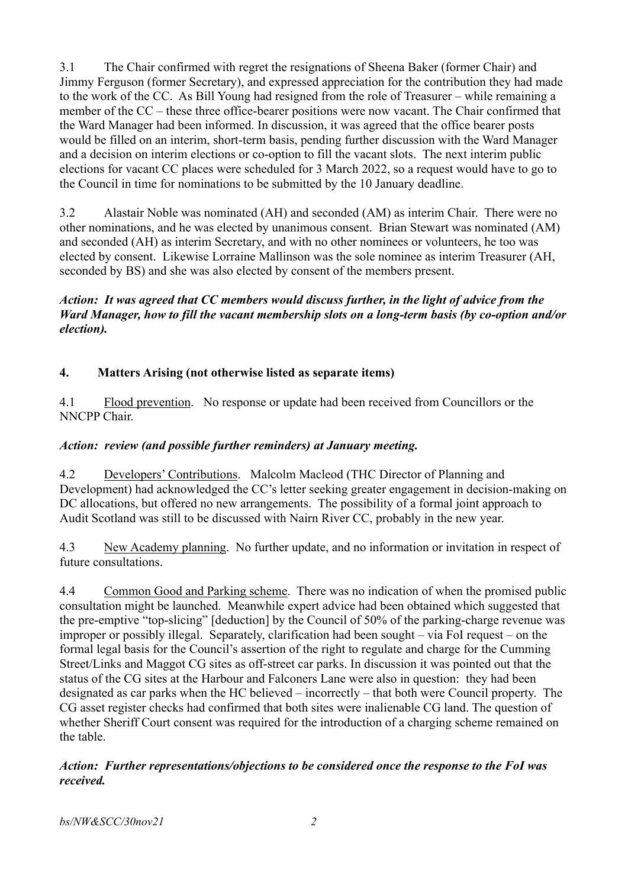3.1 The Chair confirmed with regret the resignations of Sheena Baker (former Chair) and Jimmy Ferguson (former Secretary), and expressed appreciation for the contribution they had made to the work of the CC. As Bill Young had resigned from the role of Treasurer – while remaining a member of the CC – these three office-bearer positions were now vacant. The Chair confirmed that the Ward Manager had been informed. In discussion, it was agreed that the office bearer posts would be filled on an interim, short-term basis, pending further discussion with the Ward Manager and a decision on interim elections or co-option to fill the vacant slots. The next interim public elections for vacant CC places were scheduled for 3 March 2022, so a request would have to go to the Council in time for nominations to be submitted by the 10 January deadline.

3.2 Alastair Noble was nominated (AH) and seconded (AM) as interim Chair. There were no other nominations, and he was elected by unanimous consent. Brian Stewart was nominated (AM) and seconded (AH) as interim Secretary, and with no other nominees or volunteers, he too was elected by consent. Likewise Lorraine Mallinson was the sole nominee as interim Treasurer (AH, seconded by BS) and she was also elected by consent of the members present.

### *Action: It was agreed that CC members would discuss further, in the light of advice from the Ward Manager, how to fill the vacant membership slots on a long-term basis (by co-option and/or election).*

# **4. Matters Arising (not otherwise listed as separate items)**

4.1 Flood prevention. No response or update had been received from Councillors or the NNCPP Chair.

### *Action: review (and possible further reminders) at January meeting.*

4.2 Developers' Contributions. Malcolm Macleod (THC Director of Planning and Development) had acknowledged the CC's letter seeking greater engagement in decision-making on DC allocations, but offered no new arrangements. The possibility of a formal joint approach to Audit Scotland was still to be discussed with Nairn River CC, probably in the new year.

4.3 New Academy planning. No further update, and no information or invitation in respect of future consultations.

4.4 Common Good and Parking scheme. There was no indication of when the promised public consultation might be launched. Meanwhile expert advice had been obtained which suggested that the pre-emptive "top-slicing" [deduction] by the Council of 50% of the parking-charge revenue was improper or possibly illegal. Separately, clarification had been sought – via FoI request – on the formal legal basis for the Council's assertion of the right to regulate and charge for the Cumming Street/Links and Maggot CG sites as off-street car parks. In discussion it was pointed out that the status of the CG sites at the Harbour and Falconers Lane were also in question: they had been designated as car parks when the HC believed – incorrectly – that both were Council property. The CG asset register checks had confirmed that both sites were inalienable CG land. The question of whether Sheriff Court consent was required for the introduction of a charging scheme remained on the table.

#### *Action: Further representations/objections to be considered once the response to the FoI was received.*

*bs/NW&SCC/30nov21 2*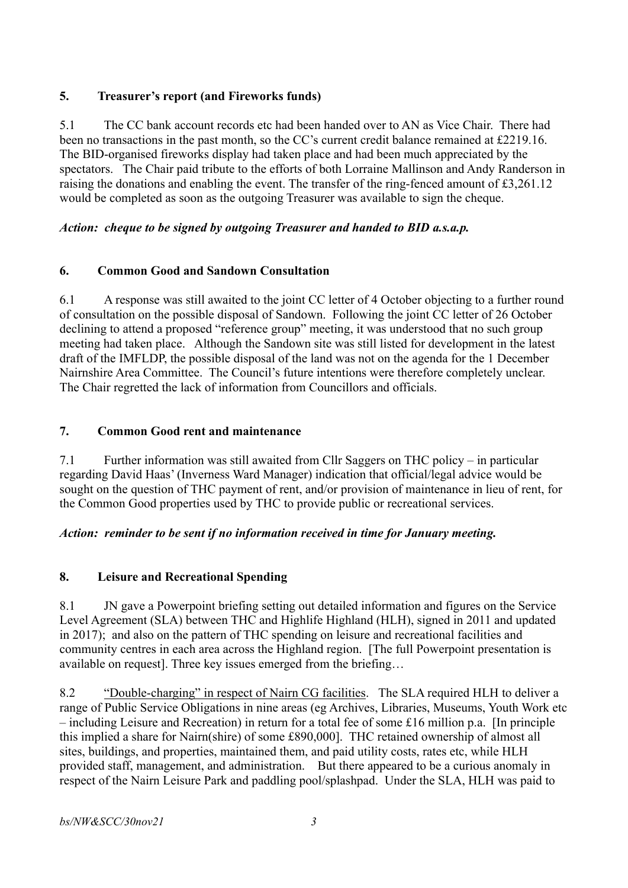# **5. Treasurer's report (and Fireworks funds)**

5.1 The CC bank account records etc had been handed over to AN as Vice Chair. There had been no transactions in the past month, so the CC's current credit balance remained at £2219.16. The BID-organised fireworks display had taken place and had been much appreciated by the spectators. The Chair paid tribute to the efforts of both Lorraine Mallinson and Andy Randerson in raising the donations and enabling the event. The transfer of the ring-fenced amount of £3,261.12 would be completed as soon as the outgoing Treasurer was available to sign the cheque.

## *Action: cheque to be signed by outgoing Treasurer and handed to BID a.s.a.p.*

# **6. Common Good and Sandown Consultation**

6.1 A response was still awaited to the joint CC letter of 4 October objecting to a further round of consultation on the possible disposal of Sandown. Following the joint CC letter of 26 October declining to attend a proposed "reference group" meeting, it was understood that no such group meeting had taken place. Although the Sandown site was still listed for development in the latest draft of the IMFLDP, the possible disposal of the land was not on the agenda for the 1 December Nairnshire Area Committee. The Council's future intentions were therefore completely unclear. The Chair regretted the lack of information from Councillors and officials.

## **7. Common Good rent and maintenance**

7.1 Further information was still awaited from Cllr Saggers on THC policy – in particular regarding David Haas' (Inverness Ward Manager) indication that official/legal advice would be sought on the question of THC payment of rent, and/or provision of maintenance in lieu of rent, for the Common Good properties used by THC to provide public or recreational services.

### *Action: reminder to be sent if no information received in time for January meeting.*

# **8. Leisure and Recreational Spending**

8.1 JN gave a Powerpoint briefing setting out detailed information and figures on the Service Level Agreement (SLA) between THC and Highlife Highland (HLH), signed in 2011 and updated in 2017); and also on the pattern of THC spending on leisure and recreational facilities and community centres in each area across the Highland region. [The full Powerpoint presentation is available on request]. Three key issues emerged from the briefing…

8.2 "Double-charging" in respect of Nairn CG facilities. The SLA required HLH to deliver a range of Public Service Obligations in nine areas (eg Archives, Libraries, Museums, Youth Work etc – including Leisure and Recreation) in return for a total fee of some £16 million p.a. [In principle this implied a share for Nairn(shire) of some £890,000]. THC retained ownership of almost all sites, buildings, and properties, maintained them, and paid utility costs, rates etc, while HLH provided staff, management, and administration. But there appeared to be a curious anomaly in respect of the Nairn Leisure Park and paddling pool/splashpad. Under the SLA, HLH was paid to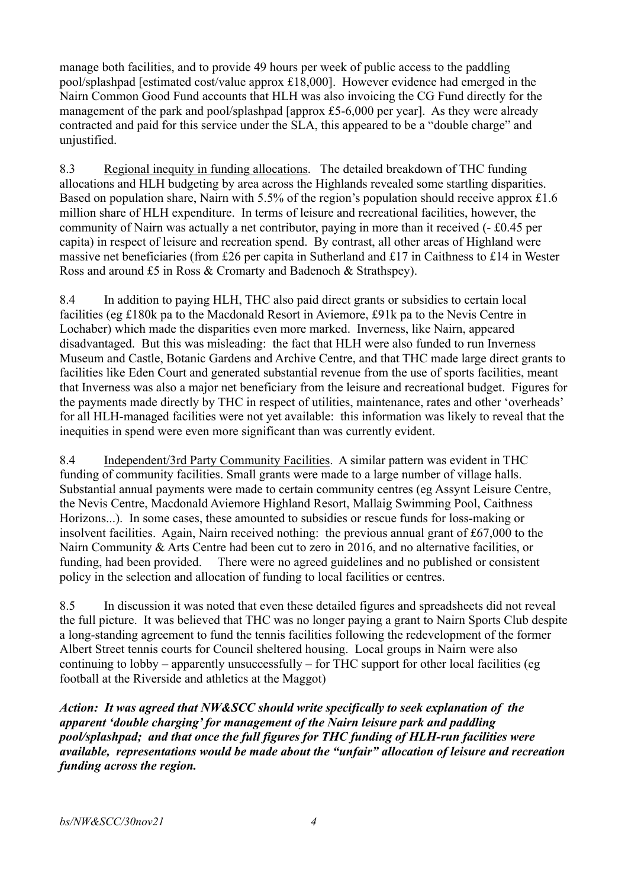manage both facilities, and to provide 49 hours per week of public access to the paddling pool/splashpad [estimated cost/value approx £18,000]. However evidence had emerged in the Nairn Common Good Fund accounts that HLH was also invoicing the CG Fund directly for the management of the park and pool/splashpad [approx £5-6,000 per year]. As they were already contracted and paid for this service under the SLA, this appeared to be a "double charge" and unjustified.

8.3 Regional inequity in funding allocations. The detailed breakdown of THC funding allocations and HLH budgeting by area across the Highlands revealed some startling disparities. Based on population share, Nairn with 5.5% of the region's population should receive approx £1.6 million share of HLH expenditure. In terms of leisure and recreational facilities, however, the community of Nairn was actually a net contributor, paying in more than it received (- £0.45 per capita) in respect of leisure and recreation spend. By contrast, all other areas of Highland were massive net beneficiaries (from £26 per capita in Sutherland and £17 in Caithness to £14 in Wester Ross and around £5 in Ross & Cromarty and Badenoch & Strathspey).

8.4 In addition to paying HLH, THC also paid direct grants or subsidies to certain local facilities (eg £180k pa to the Macdonald Resort in Aviemore, £91k pa to the Nevis Centre in Lochaber) which made the disparities even more marked. Inverness, like Nairn, appeared disadvantaged. But this was misleading: the fact that HLH were also funded to run Inverness Museum and Castle, Botanic Gardens and Archive Centre, and that THC made large direct grants to facilities like Eden Court and generated substantial revenue from the use of sports facilities, meant that Inverness was also a major net beneficiary from the leisure and recreational budget.Figures for the payments made directly by THC in respect of utilities, maintenance, rates and other 'overheads' for all HLH-managed facilities were not yet available: this information was likely to reveal that the inequities in spend were even more significant than was currently evident.

8.4 Independent/3rd Party Community Facilities. A similar pattern was evident in THC funding of community facilities. Small grants were made to a large number of village halls. Substantial annual payments were made to certain community centres (eg Assynt Leisure Centre, the Nevis Centre, Macdonald Aviemore Highland Resort, Mallaig Swimming Pool, Caithness Horizons...). In some cases, these amounted to subsidies or rescue funds for loss-making or insolvent facilities. Again, Nairn received nothing: the previous annual grant of £67,000 to the Nairn Community & Arts Centre had been cut to zero in 2016, and no alternative facilities, or funding, had been provided. There were no agreed guidelines and no published or consistent policy in the selection and allocation of funding to local facilities or centres.

8.5 In discussion it was noted that even these detailed figures and spreadsheets did not reveal the full picture. It was believed that THC was no longer paying a grant to Nairn Sports Club despite a long-standing agreement to fund the tennis facilities following the redevelopment of the former Albert Street tennis courts for Council sheltered housing. Local groups in Nairn were also continuing to lobby – apparently unsuccessfully – for THC support for other local facilities (eg football at the Riverside and athletics at the Maggot)

*Action: It was agreed that NW&SCC should write specifically to seek explanation of the apparent 'double charging' for management of the Nairn leisure park and paddling pool/splashpad; and that once the full figures for THC funding of HLH-run facilities were available, representations would be made about the "unfair" allocation of leisure and recreation funding across the region.*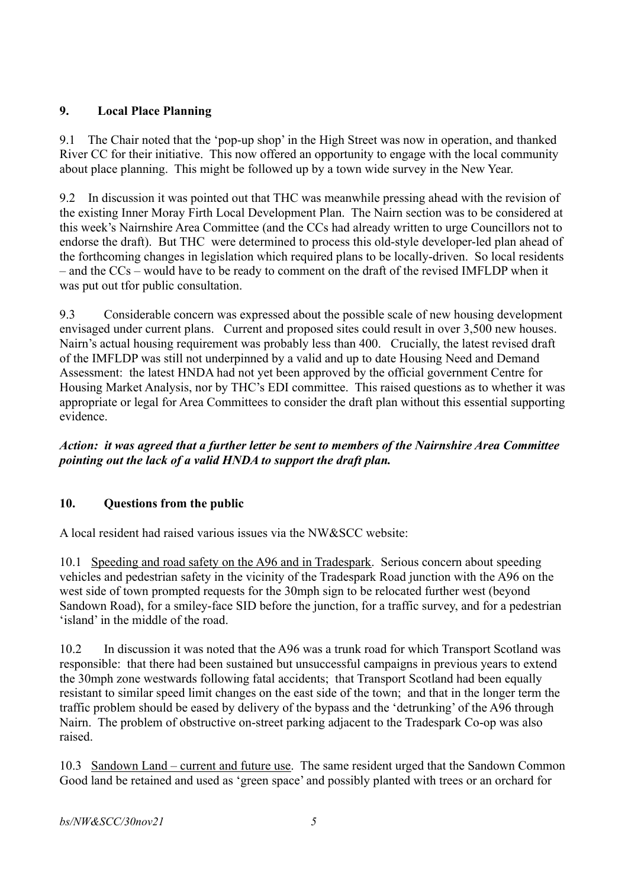# **9. Local Place Planning**

9.1 The Chair noted that the 'pop-up shop' in the High Street was now in operation, and thanked River CC for their initiative. This now offered an opportunity to engage with the local community about place planning. This might be followed up by a town wide survey in the New Year.

9.2 In discussion it was pointed out that THC was meanwhile pressing ahead with the revision of the existing Inner Moray Firth Local Development Plan. The Nairn section was to be considered at this week's Nairnshire Area Committee (and the CCs had already written to urge Councillors not to endorse the draft). But THC were determined to process this old-style developer-led plan ahead of the forthcoming changes in legislation which required plans to be locally-driven. So local residents – and the CCs – would have to be ready to comment on the draft of the revised IMFLDP when it was put out tfor public consultation.

9.3 Considerable concern was expressed about the possible scale of new housing development envisaged under current plans. Current and proposed sites could result in over 3,500 new houses. Nairn's actual housing requirement was probably less than 400. Crucially, the latest revised draft of the IMFLDP was still not underpinned by a valid and up to date Housing Need and Demand Assessment: the latest HNDA had not yet been approved by the official government Centre for Housing Market Analysis, nor by THC's EDI committee. This raised questions as to whether it was appropriate or legal for Area Committees to consider the draft plan without this essential supporting evidence.

## *Action: it was agreed that a further letter be sent to members of the Nairnshire Area Committee pointing out the lack of a valid HNDA to support the draft plan.*

# **10. Questions from the public**

A local resident had raised various issues via the NW&SCC website:

10.1 Speeding and road safety on the A96 and in Tradespark. Serious concern about speeding vehicles and pedestrian safety in the vicinity of the Tradespark Road junction with the A96 on the west side of town prompted requests for the 30mph sign to be relocated further west (beyond Sandown Road), for a smiley-face SID before the junction, for a traffic survey, and for a pedestrian 'island' in the middle of the road.

10.2 In discussion it was noted that the A96 was a trunk road for which Transport Scotland was responsible: that there had been sustained but unsuccessful campaigns in previous years to extend the 30mph zone westwards following fatal accidents; that Transport Scotland had been equally resistant to similar speed limit changes on the east side of the town; and that in the longer term the traffic problem should be eased by delivery of the bypass and the 'detrunking' of the A96 through Nairn. The problem of obstructive on-street parking adjacent to the Tradespark Co-op was also raised.

10.3 Sandown Land – current and future use. The same resident urged that the Sandown Common Good land be retained and used as 'green space' and possibly planted with trees or an orchard for